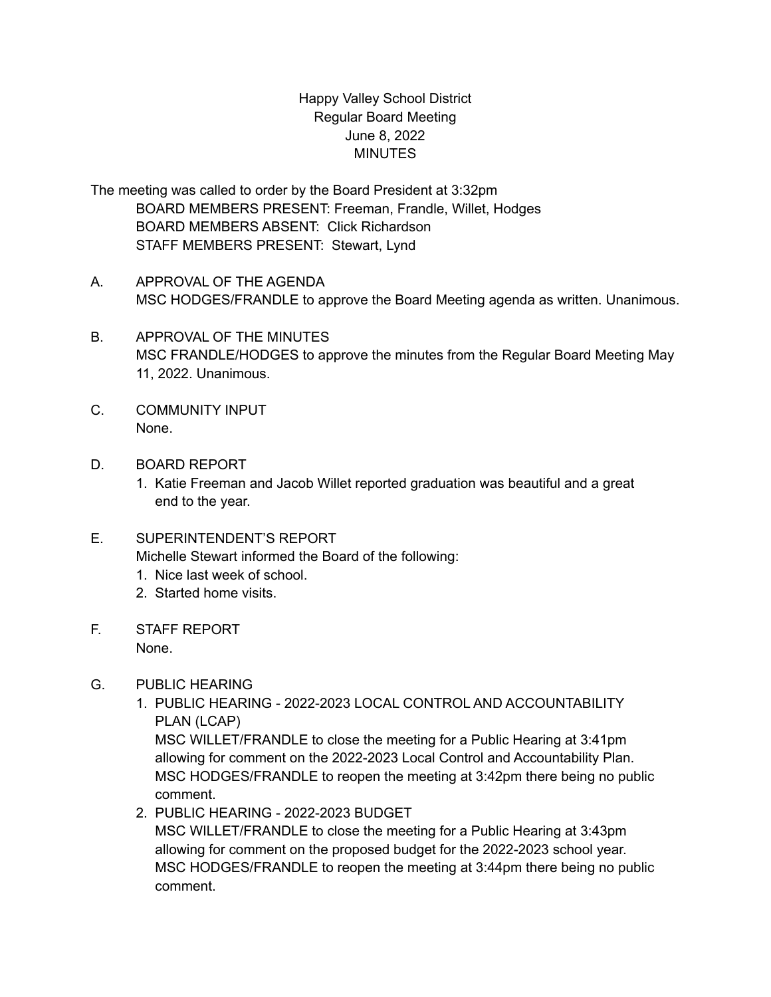## Happy Valley School District Regular Board Meeting June 8, 2022 MINUTES

The meeting was called to order by the Board President at 3:32pm BOARD MEMBERS PRESENT: Freeman, Frandle, Willet, Hodges BOARD MEMBERS ABSENT: Click Richardson STAFF MEMBERS PRESENT: Stewart, Lynd

- A. APPROVAL OF THE AGENDA MSC HODGES/FRANDLE to approve the Board Meeting agenda as written. Unanimous.
- B. APPROVAL OF THE MINUTES MSC FRANDLE/HODGES to approve the minutes from the Regular Board Meeting May 11, 2022. Unanimous.
- C. COMMUNITY INPUT None.
- D. BOARD REPORT
	- 1. Katie Freeman and Jacob Willet reported graduation was beautiful and a great end to the year.
- E. SUPERINTENDENT'S REPORT Michelle Stewart informed the Board of the following:
	- 1. Nice last week of school.
	- 2. Started home visits.
- F. STAFF REPORT None.
- G. PUBLIC HEARING
	- 1. PUBLIC HEARING 2022-2023 LOCAL CONTROL AND ACCOUNTABILITY PLAN (LCAP)

MSC WILLET/FRANDLE to close the meeting for a Public Hearing at 3:41pm allowing for comment on the 2022-2023 Local Control and Accountability Plan. MSC HODGES/FRANDLE to reopen the meeting at 3:42pm there being no public comment.

2. PUBLIC HEARING - 2022-2023 BUDGET

MSC WILLET/FRANDLE to close the meeting for a Public Hearing at 3:43pm allowing for comment on the proposed budget for the 2022-2023 school year. MSC HODGES/FRANDLE to reopen the meeting at 3:44pm there being no public comment.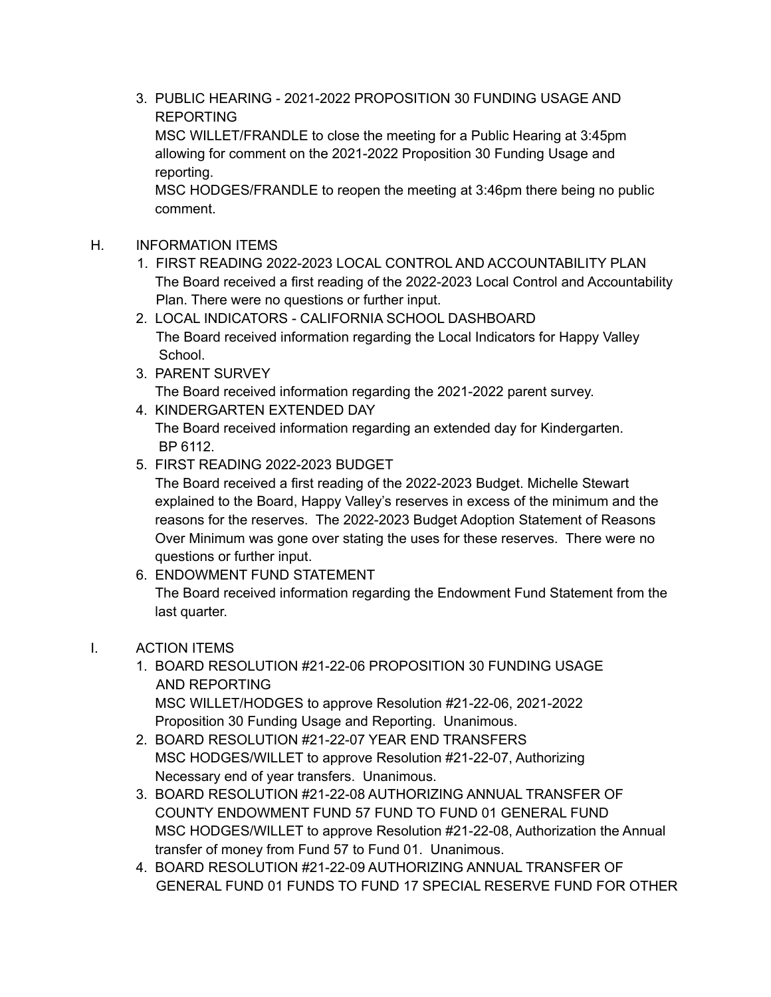- 3. PUBLIC HEARING 2021-2022 PROPOSITION 30 FUNDING USAGE AND REPORTING MSC WILLET/FRANDLE to close the meeting for a Public Hearing at 3:45pm allowing for comment on the 2021-2022 Proposition 30 Funding Usage and reporting. MSC HODGES/FRANDLE to reopen the meeting at 3:46pm there being no public comment.
- H. INFORMATION ITEMS
	- 1. FIRST READING 2022-2023 LOCAL CONTROL AND ACCOUNTABILITY PLAN The Board received a first reading of the 2022-2023 Local Control and Accountability Plan. There were no questions or further input.
	- 2. LOCAL INDICATORS CALIFORNIA SCHOOL DASHBOARD The Board received information regarding the Local Indicators for Happy Valley School.
	- 3. PARENT SURVEY The Board received information regarding the 2021-2022 parent survey.
	- 4. KINDERGARTEN EXTENDED DAY

The Board received information regarding an extended day for Kindergarten. BP 6112.

5. FIRST READING 2022-2023 BUDGET

The Board received a first reading of the 2022-2023 Budget. Michelle Stewart explained to the Board, Happy Valley's reserves in excess of the minimum and the reasons for the reserves. The 2022-2023 Budget Adoption Statement of Reasons Over Minimum was gone over stating the uses for these reserves. There were no questions or further input.

6. ENDOWMENT FUND STATEMENT The Board received information regarding the Endowment Fund Statement from the last quarter.

## I. ACTION ITEMS

- 1. BOARD RESOLUTION #21-22-06 PROPOSITION 30 FUNDING USAGE AND REPORTING MSC WILLET/HODGES to approve Resolution #21-22-06, 2021-2022 Proposition 30 Funding Usage and Reporting. Unanimous.
- 2. BOARD RESOLUTION #21-22-07 YEAR END TRANSFERS MSC HODGES/WILLET to approve Resolution #21-22-07, Authorizing Necessary end of year transfers. Unanimous.
- 3. BOARD RESOLUTION #21-22-08 AUTHORIZING ANNUAL TRANSFER OF COUNTY ENDOWMENT FUND 57 FUND TO FUND 01 GENERAL FUND MSC HODGES/WILLET to approve Resolution #21-22-08, Authorization the Annual transfer of money from Fund 57 to Fund 01. Unanimous.
- 4. BOARD RESOLUTION #21-22-09 AUTHORIZING ANNUAL TRANSFER OF GENERAL FUND 01 FUNDS TO FUND 17 SPECIAL RESERVE FUND FOR OTHER